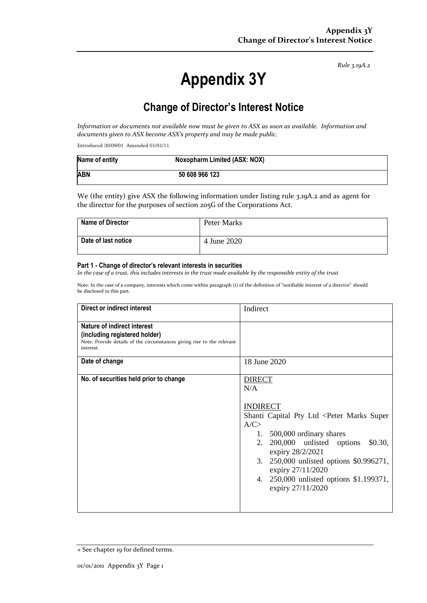*Rule 3.19A.2*

# **Appendix 3Y**

# **Change of Director's Interest Notice**

*Information or documents not available now must be given to ASX as soon as available. Information and documents given to ASX become ASX's property and may be made public.*

Introduced 30/09/01 Amended 01/01/11

| Name of entity | Noxopharm Limited (ASX: NOX) |
|----------------|------------------------------|
| <b>ABN</b>     | 50 608 966 123               |

We (the entity) give ASX the following information under listing rule 3.19A.2 and as agent for the director for the purposes of section 205G of the Corporations Act.

| Name of Director    | Peter Marks |
|---------------------|-------------|
| Date of last notice | 4 June 2020 |

#### **Part 1 - Change of director's relevant interests in securities**

*In the case of a trust, this includes interests in the trust made available by the responsible entity of the trust*

Note: In the case of a company, interests which come within paragraph (i) of the definition of "notifiable interest of a director" should be disclosed in this part.

| Direct or indirect interest                                                                                                                         | Indirect                                                                                                                                                                                                                                                                                                                                              |  |
|-----------------------------------------------------------------------------------------------------------------------------------------------------|-------------------------------------------------------------------------------------------------------------------------------------------------------------------------------------------------------------------------------------------------------------------------------------------------------------------------------------------------------|--|
| Nature of indirect interest<br>(including registered holder)<br>Note: Provide details of the circumstances giving rise to the relevant<br>interest. |                                                                                                                                                                                                                                                                                                                                                       |  |
| Date of change                                                                                                                                      | 18 June 2020                                                                                                                                                                                                                                                                                                                                          |  |
| No. of securities held prior to change                                                                                                              | <b>DIRECT</b><br>N/A<br><b>INDIRECT</b><br>Shanti Capital Pty Ltd <peter marks="" super<br="">A/C<br/>1. 500,000 ordinary shares<br/>200,000 unlisted options<br/>2.<br/>\$0.30,<br/>expiry 28/2/2021<br/>250,000 unlisted options \$0.996271,<br/>3.<br/>expiry 27/11/2020<br/>4. 250,000 unlisted options \$1.199371,<br/>expiry 27/11/2020</peter> |  |

<sup>+</sup> See chapter 19 for defined terms.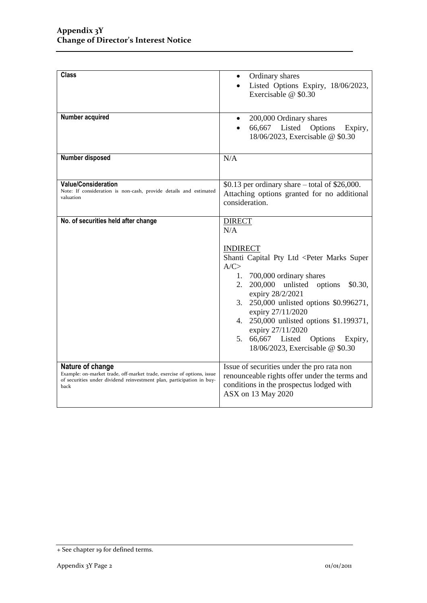| <b>Class</b>                                                                                                                                                                | Ordinary shares<br>$\bullet$<br>Listed Options Expiry, 18/06/2023,<br>$\bullet$<br>Exercisable @ \$0.30                                                                                                                                                                                                                                                                                                                                         |
|-----------------------------------------------------------------------------------------------------------------------------------------------------------------------------|-------------------------------------------------------------------------------------------------------------------------------------------------------------------------------------------------------------------------------------------------------------------------------------------------------------------------------------------------------------------------------------------------------------------------------------------------|
| Number acquired                                                                                                                                                             | 200,000 Ordinary shares<br>$\bullet$<br>66,667 Listed<br>Options<br>Expiry,<br>18/06/2023, Exercisable @ \$0.30                                                                                                                                                                                                                                                                                                                                 |
| Number disposed                                                                                                                                                             | N/A                                                                                                                                                                                                                                                                                                                                                                                                                                             |
| <b>Value/Consideration</b><br>Note: If consideration is non-cash, provide details and estimated<br>valuation                                                                | \$0.13 per ordinary share $-$ total of \$26,000.<br>Attaching options granted for no additional<br>consideration.                                                                                                                                                                                                                                                                                                                               |
| No. of securities held after change                                                                                                                                         | <b>DIRECT</b><br>N/A<br><b>INDIRECT</b><br>Shanti Capital Pty Ltd <peter marks="" super<br="">A/C<br/>1. 700,000 ordinary shares<br/>2.<br/>200,000 unlisted<br/>\$0.30,<br/>options<br/>expiry 28/2/2021<br/>250,000 unlisted options \$0.996271,<br/>3.<br/>expiry 27/11/2020<br/>250,000 unlisted options \$1.199371,<br/>4.<br/>expiry 27/11/2020<br/>5. 66,667 Listed<br/>Options<br/>Expiry,<br/>18/06/2023, Exercisable @ \$0.30</peter> |
| Nature of change<br>Example: on-market trade, off-market trade, exercise of options, issue<br>of securities under dividend reinvestment plan, participation in buy-<br>back | Issue of securities under the pro rata non<br>renounceable rights offer under the terms and<br>conditions in the prospectus lodged with<br>ASX on 13 May 2020                                                                                                                                                                                                                                                                                   |

<sup>+</sup> See chapter 19 for defined terms.